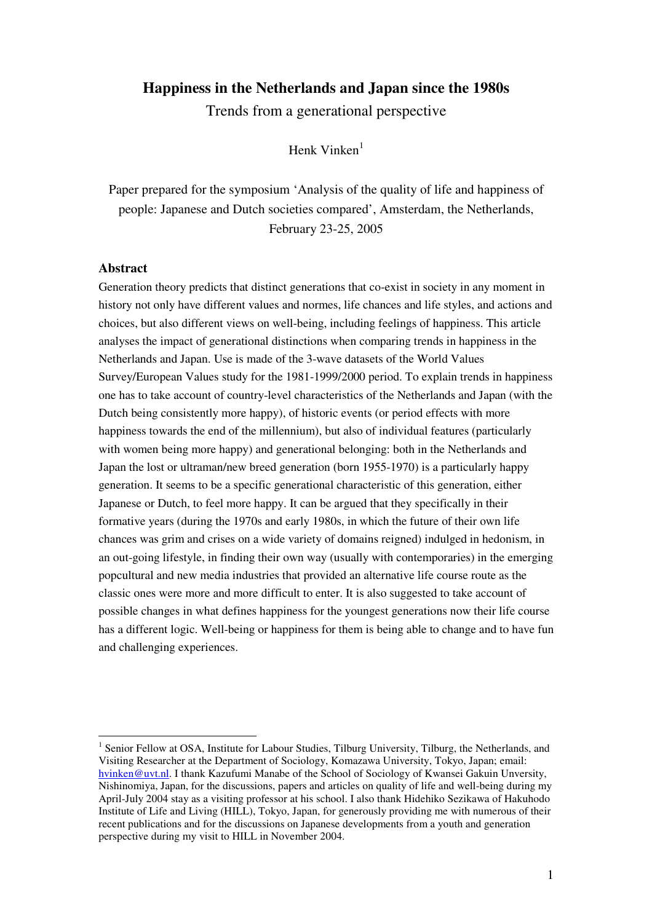# **Happiness in the Netherlands and Japan since the 1980s**

Trends from a generational perspective

Henk Vinken<sup>1</sup>

Paper prepared for the symposium 'Analysis of the quality of life and happiness of people: Japanese and Dutch societies compared', Amsterdam, the Netherlands, February 23-25, 2005

### **Abstract**

Generation theory predicts that distinct generations that co-exist in society in any moment in history not only have different values and normes, life chances and life styles, and actions and choices, but also different views on well-being, including feelings of happiness. This article analyses the impact of generational distinctions when comparing trends in happiness in the Netherlands and Japan. Use is made of the 3-wave datasets of the World Values Survey/European Values study for the 1981-1999/2000 period. To explain trends in happiness one has to take account of country-level characteristics of the Netherlands and Japan (with the Dutch being consistently more happy), of historic events (or period effects with more happiness towards the end of the millennium), but also of individual features (particularly with women being more happy) and generational belonging: both in the Netherlands and Japan the lost or ultraman/new breed generation (born 1955-1970) is a particularly happy generation. It seems to be a specific generational characteristic of this generation, either Japanese or Dutch, to feel more happy. It can be argued that they specifically in their formative years (during the 1970s and early 1980s, in which the future of their own life chances was grim and crises on a wide variety of domains reigned) indulged in hedonism, in an out-going lifestyle, in finding their own way (usually with contemporaries) in the emerging popcultural and new media industries that provided an alternative life course route as the classic ones were more and more difficult to enter. It is also suggested to take account of possible changes in what defines happiness for the youngest generations now their life course has a different logic. Well-being or happiness for them is being able to change and to have fun and challenging experiences.

<sup>&</sup>lt;sup>1</sup> Senior Fellow at OSA, Institute for Labour Studies, Tilburg University, Tilburg, the Netherlands, and Visiting Researcher at the Department of Sociology, Komazawa University, Tokyo, Japan; email: hvinken@uvt.nl. I thank Kazufumi Manabe of the School of Sociology of Kwansei Gakuin Unversity, Nishinomiya, Japan, for the discussions, papers and articles on quality of life and well-being during my April-July 2004 stay as a visiting professor at his school. I also thank Hidehiko Sezikawa of Hakuhodo Institute of Life and Living (HILL), Tokyo, Japan, for generously providing me with numerous of their recent publications and for the discussions on Japanese developments from a youth and generation perspective during my visit to HILL in November 2004.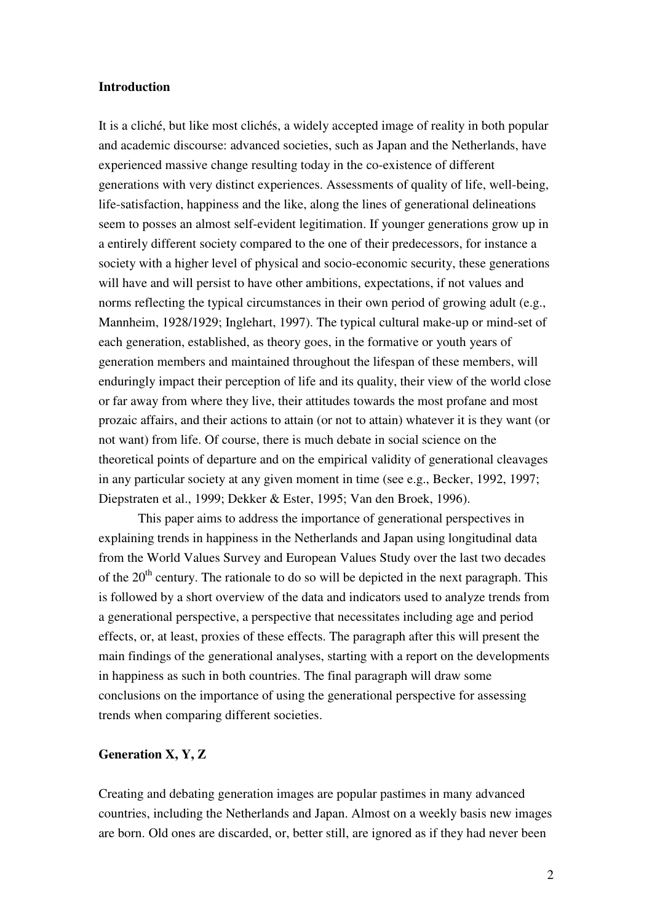#### **Introduction**

It is a cliché, but like most clichés, a widely accepted image of reality in both popular and academic discourse: advanced societies, such as Japan and the Netherlands, have experienced massive change resulting today in the co-existence of different generations with very distinct experiences. Assessments of quality of life, well-being, life-satisfaction, happiness and the like, along the lines of generational delineations seem to posses an almost self-evident legitimation. If younger generations grow up in a entirely different society compared to the one of their predecessors, for instance a society with a higher level of physical and socio-economic security, these generations will have and will persist to have other ambitions, expectations, if not values and norms reflecting the typical circumstances in their own period of growing adult (e.g., Mannheim, 1928/1929; Inglehart, 1997). The typical cultural make-up or mind-set of each generation, established, as theory goes, in the formative or youth years of generation members and maintained throughout the lifespan of these members, will enduringly impact their perception of life and its quality, their view of the world close or far away from where they live, their attitudes towards the most profane and most prozaic affairs, and their actions to attain (or not to attain) whatever it is they want (or not want) from life. Of course, there is much debate in social science on the theoretical points of departure and on the empirical validity of generational cleavages in any particular society at any given moment in time (see e.g., Becker, 1992, 1997; Diepstraten et al., 1999; Dekker & Ester, 1995; Van den Broek, 1996).

This paper aims to address the importance of generational perspectives in explaining trends in happiness in the Netherlands and Japan using longitudinal data from the World Values Survey and European Values Study over the last two decades of the  $20<sup>th</sup>$  century. The rationale to do so will be depicted in the next paragraph. This is followed by a short overview of the data and indicators used to analyze trends from a generational perspective, a perspective that necessitates including age and period effects, or, at least, proxies of these effects. The paragraph after this will present the main findings of the generational analyses, starting with a report on the developments in happiness as such in both countries. The final paragraph will draw some conclusions on the importance of using the generational perspective for assessing trends when comparing different societies.

# **Generation X, Y, Z**

Creating and debating generation images are popular pastimes in many advanced countries, including the Netherlands and Japan. Almost on a weekly basis new images are born. Old ones are discarded, or, better still, are ignored as if they had never been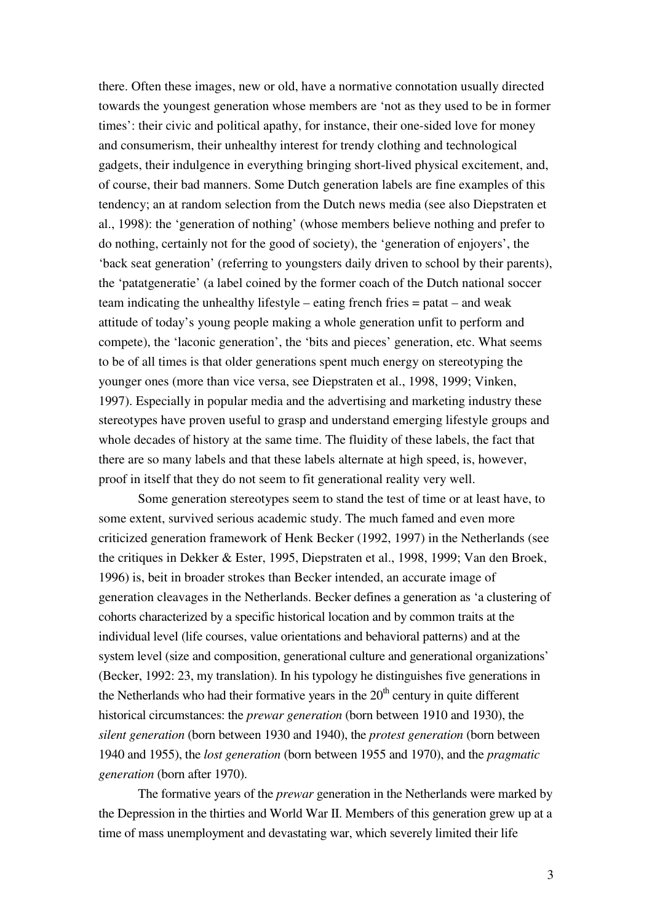there. Often these images, new or old, have a normative connotation usually directed towards the youngest generation whose members are 'not as they used to be in former times': their civic and political apathy, for instance, their one-sided love for money and consumerism, their unhealthy interest for trendy clothing and technological gadgets, their indulgence in everything bringing short-lived physical excitement, and, of course, their bad manners. Some Dutch generation labels are fine examples of this tendency; an at random selection from the Dutch news media (see also Diepstraten et al., 1998): the 'generation of nothing' (whose members believe nothing and prefer to do nothing, certainly not for the good of society), the 'generation of enjoyers', the 'back seat generation' (referring to youngsters daily driven to school by their parents), the 'patatgeneratie' (a label coined by the former coach of the Dutch national soccer team indicating the unhealthy lifestyle – eating french fries = patat – and weak attitude of today's young people making a whole generation unfit to perform and compete), the 'laconic generation', the 'bits and pieces' generation, etc. What seems to be of all times is that older generations spent much energy on stereotyping the younger ones (more than vice versa, see Diepstraten et al., 1998, 1999; Vinken, 1997). Especially in popular media and the advertising and marketing industry these stereotypes have proven useful to grasp and understand emerging lifestyle groups and whole decades of history at the same time. The fluidity of these labels, the fact that there are so many labels and that these labels alternate at high speed, is, however, proof in itself that they do not seem to fit generational reality very well.

Some generation stereotypes seem to stand the test of time or at least have, to some extent, survived serious academic study. The much famed and even more criticized generation framework of Henk Becker (1992, 1997) in the Netherlands (see the critiques in Dekker & Ester, 1995, Diepstraten et al., 1998, 1999; Van den Broek, 1996) is, beit in broader strokes than Becker intended, an accurate image of generation cleavages in the Netherlands. Becker defines a generation as 'a clustering of cohorts characterized by a specific historical location and by common traits at the individual level (life courses, value orientations and behavioral patterns) and at the system level (size and composition, generational culture and generational organizations' (Becker, 1992: 23, my translation). In his typology he distinguishes five generations in the Netherlands who had their formative years in the  $20<sup>th</sup>$  century in quite different historical circumstances: the *prewar generation* (born between 1910 and 1930), the *silent generation* (born between 1930 and 1940), the *protest generation* (born between 1940 and 1955), the *lost generation* (born between 1955 and 1970), and the *pragmatic generation* (born after 1970).

The formative years of the *prewar* generation in the Netherlands were marked by the Depression in the thirties and World War II. Members of this generation grew up at a time of mass unemployment and devastating war, which severely limited their life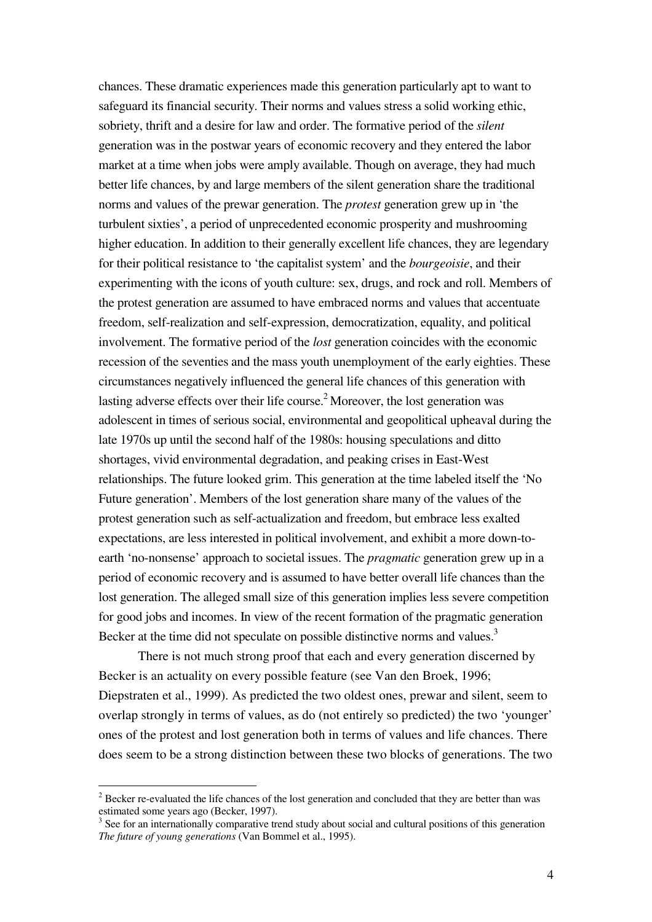chances. These dramatic experiences made this generation particularly apt to want to safeguard its financial security. Their norms and values stress a solid working ethic, sobriety, thrift and a desire for law and order. The formative period of the *silent* generation was in the postwar years of economic recovery and they entered the labor market at a time when jobs were amply available. Though on average, they had much better life chances, by and large members of the silent generation share the traditional norms and values of the prewar generation. The *protest* generation grew up in 'the turbulent sixties', a period of unprecedented economic prosperity and mushrooming higher education. In addition to their generally excellent life chances, they are legendary for their political resistance to 'the capitalist system' and the *bourgeoisie*, and their experimenting with the icons of youth culture: sex, drugs, and rock and roll. Members of the protest generation are assumed to have embraced norms and values that accentuate freedom, self-realization and self-expression, democratization, equality, and political involvement. The formative period of the *lost* generation coincides with the economic recession of the seventies and the mass youth unemployment of the early eighties. These circumstances negatively influenced the general life chances of this generation with lasting adverse effects over their life course.<sup>2</sup> Moreover, the lost generation was adolescent in times of serious social, environmental and geopolitical upheaval during the late 1970s up until the second half of the 1980s: housing speculations and ditto shortages, vivid environmental degradation, and peaking crises in East-West relationships. The future looked grim. This generation at the time labeled itself the 'No Future generation'. Members of the lost generation share many of the values of the protest generation such as self-actualization and freedom, but embrace less exalted expectations, are less interested in political involvement, and exhibit a more down-toearth 'no-nonsense' approach to societal issues. The *pragmatic* generation grew up in a period of economic recovery and is assumed to have better overall life chances than the lost generation. The alleged small size of this generation implies less severe competition for good jobs and incomes. In view of the recent formation of the pragmatic generation Becker at the time did not speculate on possible distinctive norms and values.<sup>3</sup>

There is not much strong proof that each and every generation discerned by Becker is an actuality on every possible feature (see Van den Broek, 1996; Diepstraten et al., 1999). As predicted the two oldest ones, prewar and silent, seem to overlap strongly in terms of values, as do (not entirely so predicted) the two 'younger' ones of the protest and lost generation both in terms of values and life chances. There does seem to be a strong distinction between these two blocks of generations. The two

 $2^2$  Becker re-evaluated the life chances of the lost generation and concluded that they are better than was estimated some years ago (Becker, 1997).

<sup>&</sup>lt;sup>3</sup> See for an internationally comparative trend study about social and cultural positions of this generation *The future of young generations* (Van Bommel et al., 1995).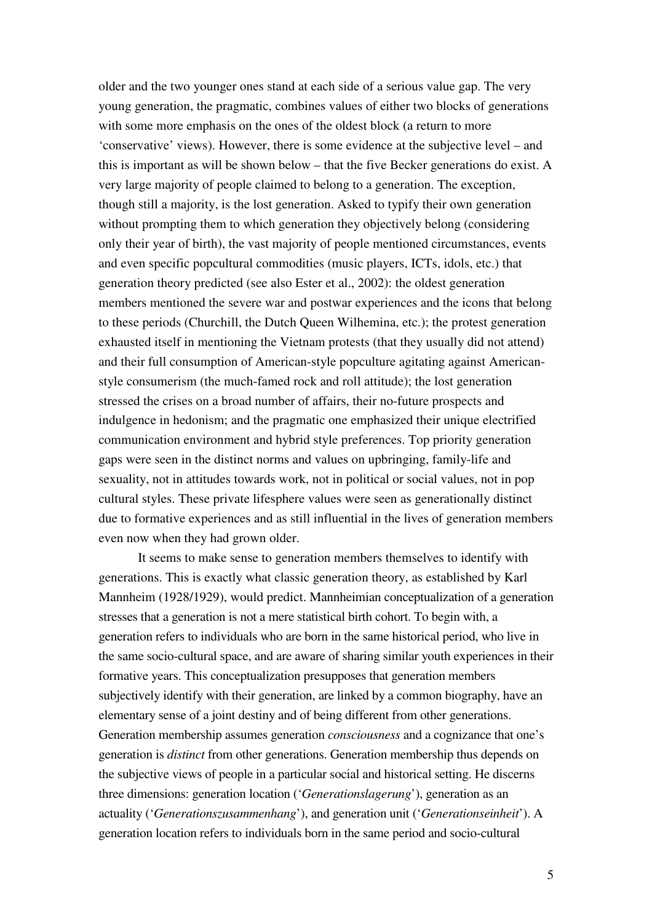older and the two younger ones stand at each side of a serious value gap. The very young generation, the pragmatic, combines values of either two blocks of generations with some more emphasis on the ones of the oldest block (a return to more 'conservative' views). However, there is some evidence at the subjective level – and this is important as will be shown below – that the five Becker generations do exist. A very large majority of people claimed to belong to a generation. The exception, though still a majority, is the lost generation. Asked to typify their own generation without prompting them to which generation they objectively belong (considering only their year of birth), the vast majority of people mentioned circumstances, events and even specific popcultural commodities (music players, ICTs, idols, etc.) that generation theory predicted (see also Ester et al., 2002): the oldest generation members mentioned the severe war and postwar experiences and the icons that belong to these periods (Churchill, the Dutch Queen Wilhemina, etc.); the protest generation exhausted itself in mentioning the Vietnam protests (that they usually did not attend) and their full consumption of American-style popculture agitating against Americanstyle consumerism (the much-famed rock and roll attitude); the lost generation stressed the crises on a broad number of affairs, their no-future prospects and indulgence in hedonism; and the pragmatic one emphasized their unique electrified communication environment and hybrid style preferences. Top priority generation gaps were seen in the distinct norms and values on upbringing, family-life and sexuality, not in attitudes towards work, not in political or social values, not in pop cultural styles. These private lifesphere values were seen as generationally distinct due to formative experiences and as still influential in the lives of generation members even now when they had grown older.

It seems to make sense to generation members themselves to identify with generations. This is exactly what classic generation theory, as established by Karl Mannheim (1928/1929), would predict. Mannheimian conceptualization of a generation stresses that a generation is not a mere statistical birth cohort. To begin with, a generation refers to individuals who are born in the same historical period, who live in the same socio-cultural space, and are aware of sharing similar youth experiences in their formative years. This conceptualization presupposes that generation members subjectively identify with their generation, are linked by a common biography, have an elementary sense of a joint destiny and of being different from other generations. Generation membership assumes generation *consciousness* and a cognizance that one's generation is *distinct* from other generations. Generation membership thus depends on the subjective views of people in a particular social and historical setting. He discerns three dimensions: generation location ('*Generationslagerung*'), generation as an actuality ('*Generationszusammenhang*'), and generation unit ('*Generationseinheit*'). A generation location refers to individuals born in the same period and socio-cultural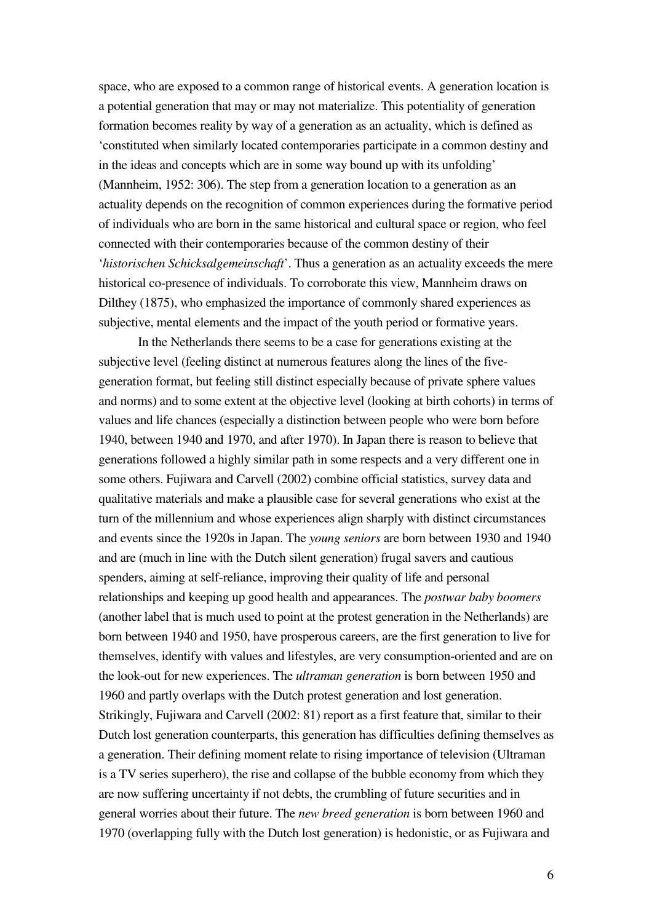space, who are exposed to a common range of historical events. A generation location is a potential generation that may or may not materialize. This potentiality of generation formation becomes reality by way of a generation as an actuality, which is defined as 'constituted when similarly located contemporaries participate in a common destiny and in the ideas and concepts which are in some way bound up with its unfolding' (Mannheim, 1952: 306). The step from a generation location to a generation as an actuality depends on the recognition of common experiences during the formative period of individuals who are born in the same historical and cultural space or region, who feel connected with their contemporaries because of the common destiny of their '*historischen Schicksalgemeinschaft*'. Thus a generation as an actuality exceeds the mere historical co-presence of individuals. To corroborate this view, Mannheim draws on Dilthey (1875), who emphasized the importance of commonly shared experiences as subjective, mental elements and the impact of the youth period or formative years.

In the Netherlands there seems to be a case for generations existing at the subjective level (feeling distinct at numerous features along the lines of the fivegeneration format, but feeling still distinct especially because of private sphere values and norms) and to some extent at the objective level (looking at birth cohorts) in terms of values and life chances (especially a distinction between people who were born before 1940, between 1940 and 1970, and after 1970). In Japan there is reason to believe that generations followed a highly similar path in some respects and a very different one in some others. Fujiwara and Carvell (2002) combine official statistics, survey data and qualitative materials and make a plausible case for several generations who exist at the turn of the millennium and whose experiences align sharply with distinct circumstances and events since the 1920s in Japan. The *young seniors* are born between 1930 and 1940 and are (much in line with the Dutch silent generation) frugal savers and cautious spenders, aiming at self-reliance, improving their quality of life and personal relationships and keeping up good health and appearances. The *postwar baby boomers* (another label that is much used to point at the protest generation in the Netherlands) are born between 1940 and 1950, have prosperous careers, are the first generation to live for themselves, identify with values and lifestyles, are very consumption-oriented and are on the look-out for new experiences. The *ultraman generation* is born between 1950 and 1960 and partly overlaps with the Dutch protest generation and lost generation. Strikingly, Fujiwara and Carvell (2002: 81) report as a first feature that, similar to their Dutch lost generation counterparts, this generation has difficulties defining themselves as a generation. Their defining moment relate to rising importance of television (Ultraman is a TV series superhero), the rise and collapse of the bubble economy from which they are now suffering uncertainty if not debts, the crumbling of future securities and in general worries about their future. The *new breed generation* is born between 1960 and 1970 (overlapping fully with the Dutch lost generation) is hedonistic, or as Fujiwara and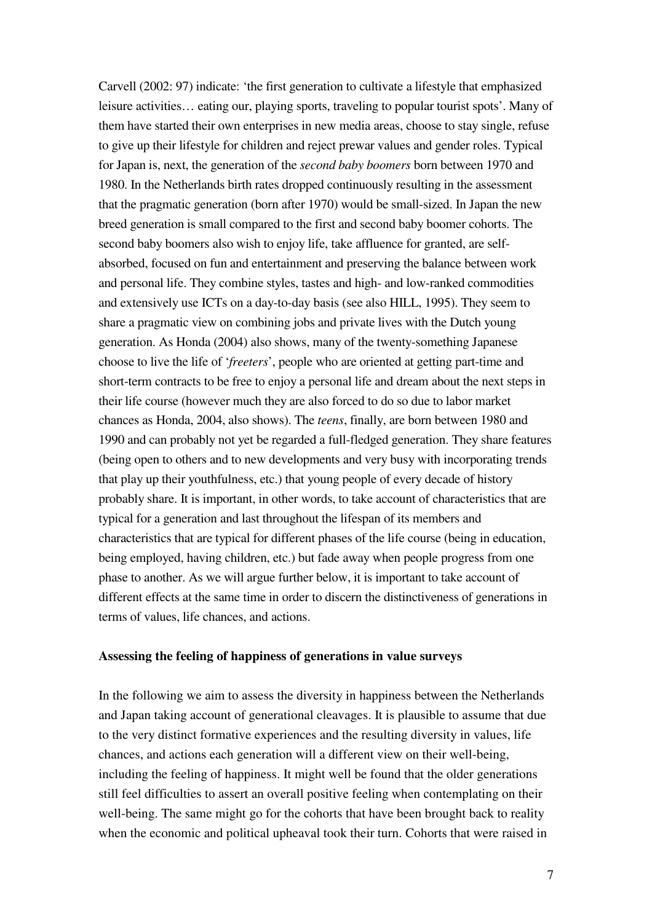Carvell (2002: 97) indicate: 'the first generation to cultivate a lifestyle that emphasized leisure activities… eating our, playing sports, traveling to popular tourist spots'. Many of them have started their own enterprises in new media areas, choose to stay single, refuse to give up their lifestyle for children and reject prewar values and gender roles. Typical for Japan is, next, the generation of the *second baby boomers* born between 1970 and 1980. In the Netherlands birth rates dropped continuously resulting in the assessment that the pragmatic generation (born after 1970) would be small-sized. In Japan the new breed generation is small compared to the first and second baby boomer cohorts. The second baby boomers also wish to enjoy life, take affluence for granted, are selfabsorbed, focused on fun and entertainment and preserving the balance between work and personal life. They combine styles, tastes and high- and low-ranked commodities and extensively use ICTs on a day-to-day basis (see also HILL, 1995). They seem to share a pragmatic view on combining jobs and private lives with the Dutch young generation. As Honda (2004) also shows, many of the twenty-something Japanese choose to live the life of '*freeters*', people who are oriented at getting part-time and short-term contracts to be free to enjoy a personal life and dream about the next steps in their life course (however much they are also forced to do so due to labor market chances as Honda, 2004, also shows). The *teens*, finally, are born between 1980 and 1990 and can probably not yet be regarded a full-fledged generation. They share features (being open to others and to new developments and very busy with incorporating trends that play up their youthfulness, etc.) that young people of every decade of history probably share. It is important, in other words, to take account of characteristics that are typical for a generation and last throughout the lifespan of its members and characteristics that are typical for different phases of the life course (being in education, being employed, having children, etc.) but fade away when people progress from one phase to another. As we will argue further below, it is important to take account of different effects at the same time in order to discern the distinctiveness of generations in terms of values, life chances, and actions.

# **Assessing the feeling of happiness of generations in value surveys**

In the following we aim to assess the diversity in happiness between the Netherlands and Japan taking account of generational cleavages. It is plausible to assume that due to the very distinct formative experiences and the resulting diversity in values, life chances, and actions each generation will a different view on their well-being, including the feeling of happiness. It might well be found that the older generations still feel difficulties to assert an overall positive feeling when contemplating on their well-being. The same might go for the cohorts that have been brought back to reality when the economic and political upheaval took their turn. Cohorts that were raised in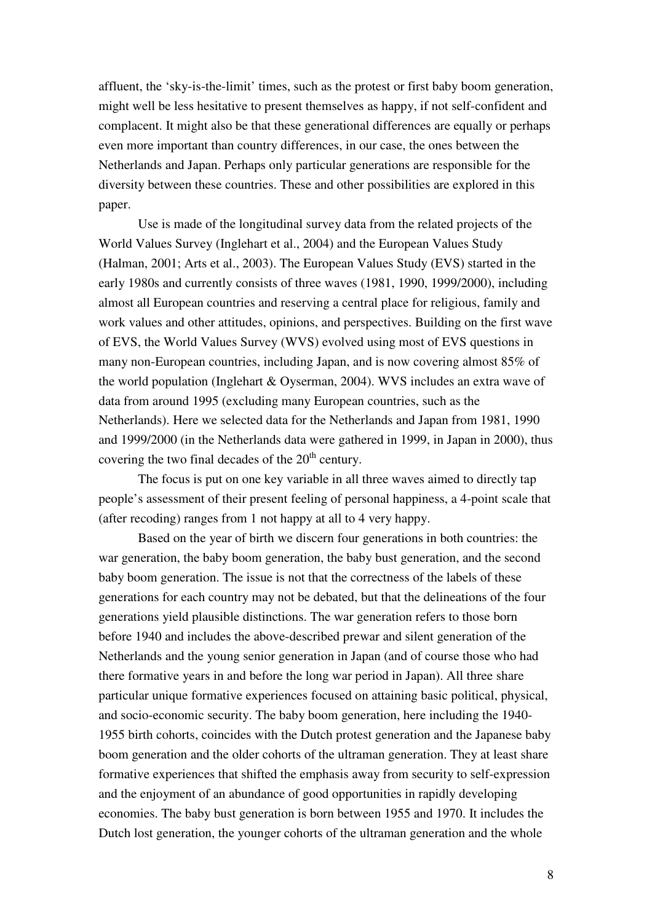affluent, the 'sky-is-the-limit' times, such as the protest or first baby boom generation, might well be less hesitative to present themselves as happy, if not self-confident and complacent. It might also be that these generational differences are equally or perhaps even more important than country differences, in our case, the ones between the Netherlands and Japan. Perhaps only particular generations are responsible for the diversity between these countries. These and other possibilities are explored in this paper.

Use is made of the longitudinal survey data from the related projects of the World Values Survey (Inglehart et al., 2004) and the European Values Study (Halman, 2001; Arts et al., 2003). The European Values Study (EVS) started in the early 1980s and currently consists of three waves (1981, 1990, 1999/2000), including almost all European countries and reserving a central place for religious, family and work values and other attitudes, opinions, and perspectives. Building on the first wave of EVS, the World Values Survey (WVS) evolved using most of EVS questions in many non-European countries, including Japan, and is now covering almost 85% of the world population (Inglehart & Oyserman, 2004). WVS includes an extra wave of data from around 1995 (excluding many European countries, such as the Netherlands). Here we selected data for the Netherlands and Japan from 1981, 1990 and 1999/2000 (in the Netherlands data were gathered in 1999, in Japan in 2000), thus covering the two final decades of the  $20<sup>th</sup>$  century.

The focus is put on one key variable in all three waves aimed to directly tap people's assessment of their present feeling of personal happiness, a 4-point scale that (after recoding) ranges from 1 not happy at all to 4 very happy.

Based on the year of birth we discern four generations in both countries: the war generation, the baby boom generation, the baby bust generation, and the second baby boom generation. The issue is not that the correctness of the labels of these generations for each country may not be debated, but that the delineations of the four generations yield plausible distinctions. The war generation refers to those born before 1940 and includes the above-described prewar and silent generation of the Netherlands and the young senior generation in Japan (and of course those who had there formative years in and before the long war period in Japan). All three share particular unique formative experiences focused on attaining basic political, physical, and socio-economic security. The baby boom generation, here including the 1940- 1955 birth cohorts, coincides with the Dutch protest generation and the Japanese baby boom generation and the older cohorts of the ultraman generation. They at least share formative experiences that shifted the emphasis away from security to self-expression and the enjoyment of an abundance of good opportunities in rapidly developing economies. The baby bust generation is born between 1955 and 1970. It includes the Dutch lost generation, the younger cohorts of the ultraman generation and the whole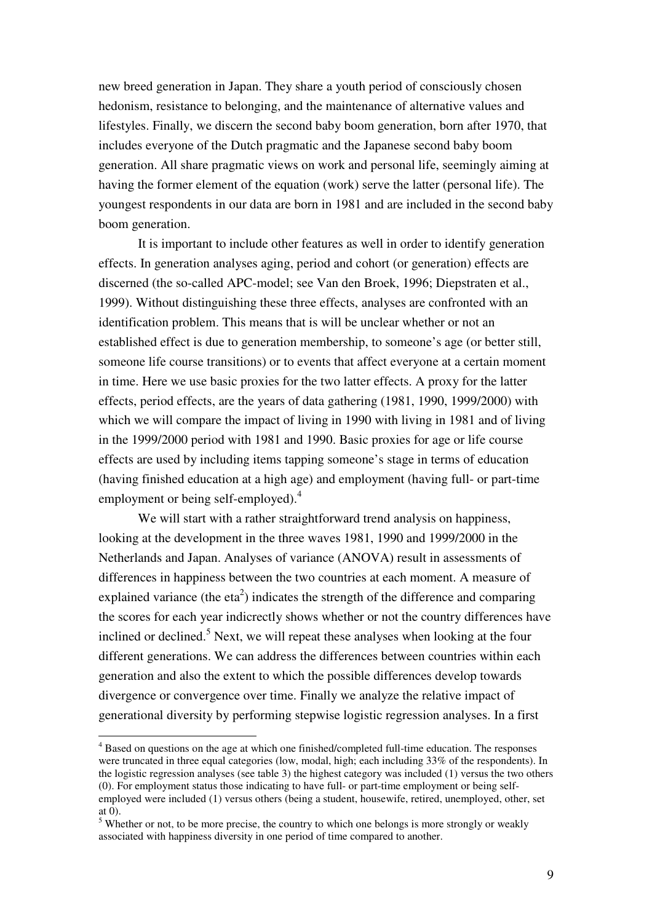new breed generation in Japan. They share a youth period of consciously chosen hedonism, resistance to belonging, and the maintenance of alternative values and lifestyles. Finally, we discern the second baby boom generation, born after 1970, that includes everyone of the Dutch pragmatic and the Japanese second baby boom generation. All share pragmatic views on work and personal life, seemingly aiming at having the former element of the equation (work) serve the latter (personal life). The youngest respondents in our data are born in 1981 and are included in the second baby boom generation.

It is important to include other features as well in order to identify generation effects. In generation analyses aging, period and cohort (or generation) effects are discerned (the so-called APC-model; see Van den Broek, 1996; Diepstraten et al., 1999). Without distinguishing these three effects, analyses are confronted with an identification problem. This means that is will be unclear whether or not an established effect is due to generation membership, to someone's age (or better still, someone life course transitions) or to events that affect everyone at a certain moment in time. Here we use basic proxies for the two latter effects. A proxy for the latter effects, period effects, are the years of data gathering (1981, 1990, 1999/2000) with which we will compare the impact of living in 1990 with living in 1981 and of living in the 1999/2000 period with 1981 and 1990. Basic proxies for age or life course effects are used by including items tapping someone's stage in terms of education (having finished education at a high age) and employment (having full- or part-time employment or being self-employed).<sup>4</sup>

We will start with a rather straightforward trend analysis on happiness, looking at the development in the three waves 1981, 1990 and 1999/2000 in the Netherlands and Japan. Analyses of variance (ANOVA) result in assessments of differences in happiness between the two countries at each moment. A measure of explained variance (the eta<sup>2</sup>) indicates the strength of the difference and comparing the scores for each year indicrectly shows whether or not the country differences have inclined or declined.<sup>5</sup> Next, we will repeat these analyses when looking at the four different generations. We can address the differences between countries within each generation and also the extent to which the possible differences develop towards divergence or convergence over time. Finally we analyze the relative impact of generational diversity by performing stepwise logistic regression analyses. In a first

<sup>&</sup>lt;sup>4</sup> Based on questions on the age at which one finished/completed full-time education. The responses were truncated in three equal categories (low, modal, high; each including 33% of the respondents). In the logistic regression analyses (see table 3) the highest category was included (1) versus the two others (0). For employment status those indicating to have full- or part-time employment or being selfemployed were included (1) versus others (being a student, housewife, retired, unemployed, other, set at 0).

 $5$  Whether or not, to be more precise, the country to which one belongs is more strongly or weakly associated with happiness diversity in one period of time compared to another.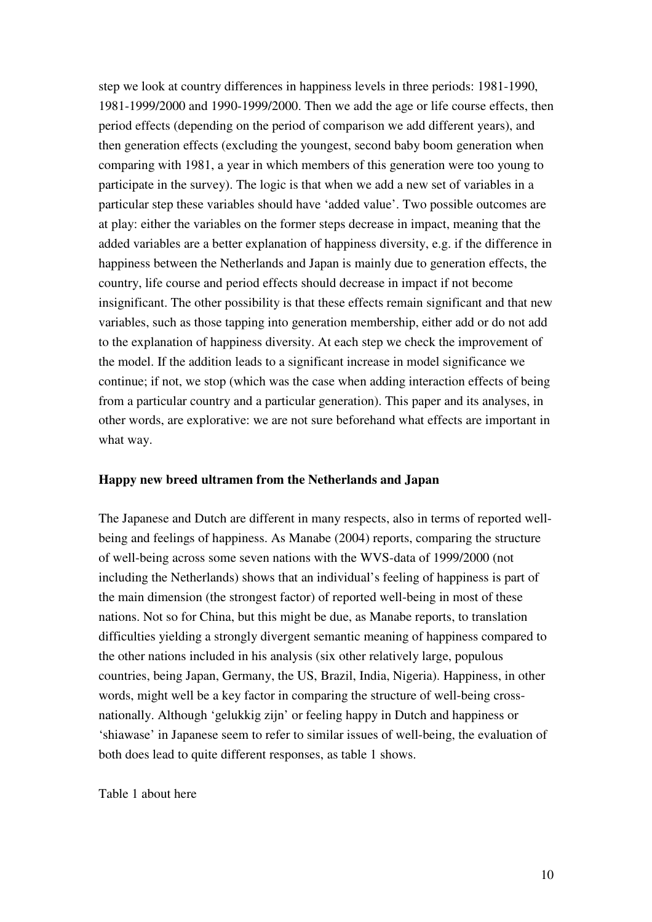step we look at country differences in happiness levels in three periods: 1981-1990, 1981-1999/2000 and 1990-1999/2000. Then we add the age or life course effects, then period effects (depending on the period of comparison we add different years), and then generation effects (excluding the youngest, second baby boom generation when comparing with 1981, a year in which members of this generation were too young to participate in the survey). The logic is that when we add a new set of variables in a particular step these variables should have 'added value'. Two possible outcomes are at play: either the variables on the former steps decrease in impact, meaning that the added variables are a better explanation of happiness diversity, e.g. if the difference in happiness between the Netherlands and Japan is mainly due to generation effects, the country, life course and period effects should decrease in impact if not become insignificant. The other possibility is that these effects remain significant and that new variables, such as those tapping into generation membership, either add or do not add to the explanation of happiness diversity. At each step we check the improvement of the model. If the addition leads to a significant increase in model significance we continue; if not, we stop (which was the case when adding interaction effects of being from a particular country and a particular generation). This paper and its analyses, in other words, are explorative: we are not sure beforehand what effects are important in what way.

### **Happy new breed ultramen from the Netherlands and Japan**

The Japanese and Dutch are different in many respects, also in terms of reported wellbeing and feelings of happiness. As Manabe (2004) reports, comparing the structure of well-being across some seven nations with the WVS-data of 1999/2000 (not including the Netherlands) shows that an individual's feeling of happiness is part of the main dimension (the strongest factor) of reported well-being in most of these nations. Not so for China, but this might be due, as Manabe reports, to translation difficulties yielding a strongly divergent semantic meaning of happiness compared to the other nations included in his analysis (six other relatively large, populous countries, being Japan, Germany, the US, Brazil, India, Nigeria). Happiness, in other words, might well be a key factor in comparing the structure of well-being crossnationally. Although 'gelukkig zijn' or feeling happy in Dutch and happiness or 'shiawase' in Japanese seem to refer to similar issues of well-being, the evaluation of both does lead to quite different responses, as table 1 shows.

Table 1 about here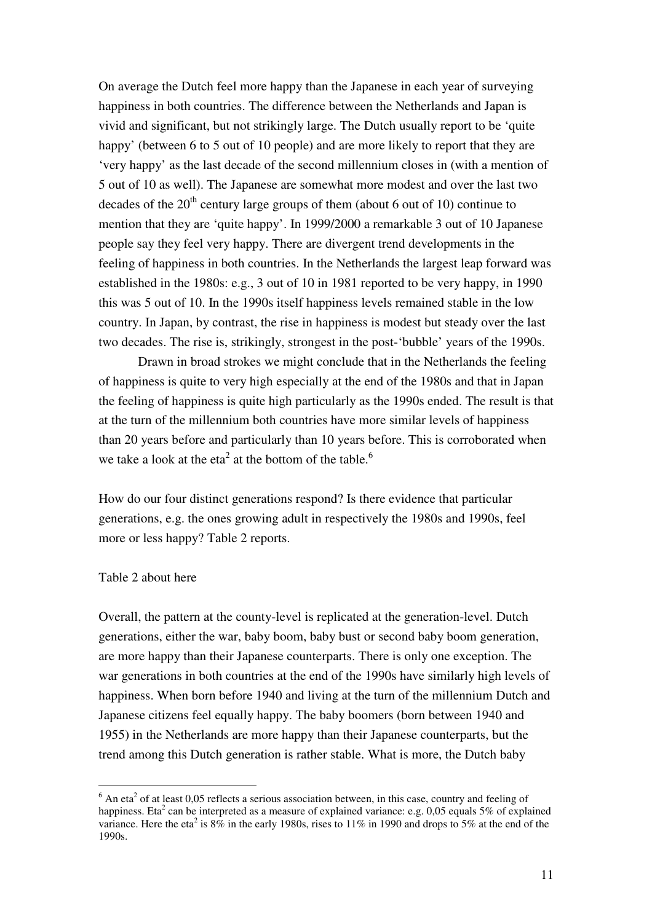On average the Dutch feel more happy than the Japanese in each year of surveying happiness in both countries. The difference between the Netherlands and Japan is vivid and significant, but not strikingly large. The Dutch usually report to be 'quite happy' (between 6 to 5 out of 10 people) and are more likely to report that they are 'very happy' as the last decade of the second millennium closes in (with a mention of 5 out of 10 as well). The Japanese are somewhat more modest and over the last two decades of the  $20<sup>th</sup>$  century large groups of them (about 6 out of 10) continue to mention that they are 'quite happy'. In 1999/2000 a remarkable 3 out of 10 Japanese people say they feel very happy. There are divergent trend developments in the feeling of happiness in both countries. In the Netherlands the largest leap forward was established in the 1980s: e.g., 3 out of 10 in 1981 reported to be very happy, in 1990 this was 5 out of 10. In the 1990s itself happiness levels remained stable in the low country. In Japan, by contrast, the rise in happiness is modest but steady over the last two decades. The rise is, strikingly, strongest in the post-'bubble' years of the 1990s.

Drawn in broad strokes we might conclude that in the Netherlands the feeling of happiness is quite to very high especially at the end of the 1980s and that in Japan the feeling of happiness is quite high particularly as the 1990s ended. The result is that at the turn of the millennium both countries have more similar levels of happiness than 20 years before and particularly than 10 years before. This is corroborated when we take a look at the eta<sup>2</sup> at the bottom of the table.<sup>6</sup>

How do our four distinct generations respond? Is there evidence that particular generations, e.g. the ones growing adult in respectively the 1980s and 1990s, feel more or less happy? Table 2 reports.

### Table 2 about here

Overall, the pattern at the county-level is replicated at the generation-level. Dutch generations, either the war, baby boom, baby bust or second baby boom generation, are more happy than their Japanese counterparts. There is only one exception. The war generations in both countries at the end of the 1990s have similarly high levels of happiness. When born before 1940 and living at the turn of the millennium Dutch and Japanese citizens feel equally happy. The baby boomers (born between 1940 and 1955) in the Netherlands are more happy than their Japanese counterparts, but the trend among this Dutch generation is rather stable. What is more, the Dutch baby

 $<sup>6</sup>$  An eta<sup>2</sup> of at least 0,05 reflects a serious association between, in this case, country and feeling of</sup> happiness. Eta<sup>2</sup> can be interpreted as a measure of explained variance: e.g. 0,05 equals 5% of explained variance. Here the eta<sup>2</sup> is 8% in the early 1980s, rises to 11% in 1990 and drops to 5% at the end of the 1990s.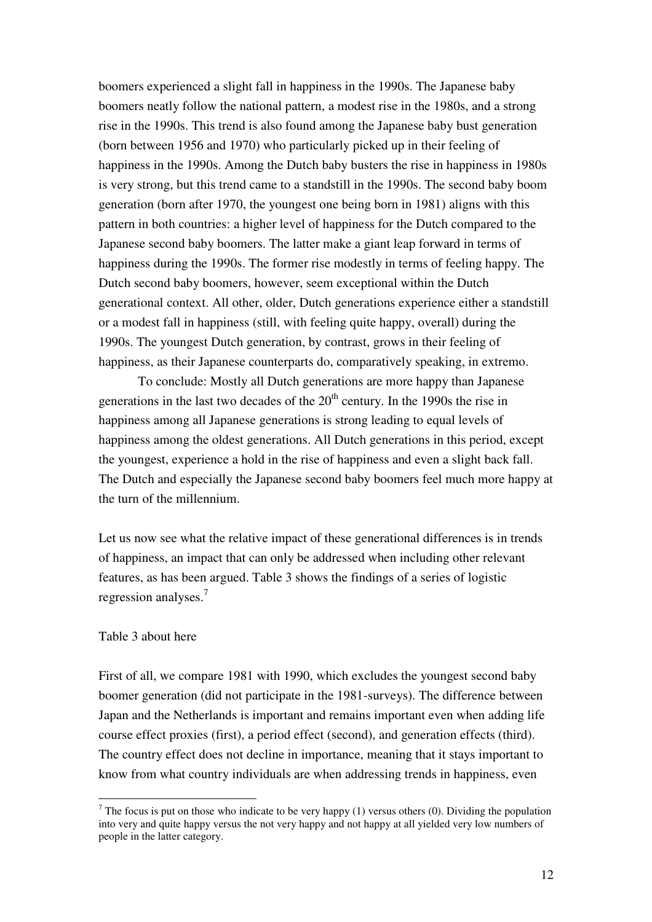boomers experienced a slight fall in happiness in the 1990s. The Japanese baby boomers neatly follow the national pattern, a modest rise in the 1980s, and a strong rise in the 1990s. This trend is also found among the Japanese baby bust generation (born between 1956 and 1970) who particularly picked up in their feeling of happiness in the 1990s. Among the Dutch baby busters the rise in happiness in 1980s is very strong, but this trend came to a standstill in the 1990s. The second baby boom generation (born after 1970, the youngest one being born in 1981) aligns with this pattern in both countries: a higher level of happiness for the Dutch compared to the Japanese second baby boomers. The latter make a giant leap forward in terms of happiness during the 1990s. The former rise modestly in terms of feeling happy. The Dutch second baby boomers, however, seem exceptional within the Dutch generational context. All other, older, Dutch generations experience either a standstill or a modest fall in happiness (still, with feeling quite happy, overall) during the 1990s. The youngest Dutch generation, by contrast, grows in their feeling of happiness, as their Japanese counterparts do, comparatively speaking, in extremo.

To conclude: Mostly all Dutch generations are more happy than Japanese generations in the last two decades of the  $20<sup>th</sup>$  century. In the 1990s the rise in happiness among all Japanese generations is strong leading to equal levels of happiness among the oldest generations. All Dutch generations in this period, except the youngest, experience a hold in the rise of happiness and even a slight back fall. The Dutch and especially the Japanese second baby boomers feel much more happy at the turn of the millennium.

Let us now see what the relative impact of these generational differences is in trends of happiness, an impact that can only be addressed when including other relevant features, as has been argued. Table 3 shows the findings of a series of logistic regression analyses.<sup>7</sup>

#### Table 3 about here

First of all, we compare 1981 with 1990, which excludes the youngest second baby boomer generation (did not participate in the 1981-surveys). The difference between Japan and the Netherlands is important and remains important even when adding life course effect proxies (first), a period effect (second), and generation effects (third). The country effect does not decline in importance, meaning that it stays important to know from what country individuals are when addressing trends in happiness, even

 $<sup>7</sup>$  The focus is put on those who indicate to be very happy (1) versus others (0). Dividing the population</sup> into very and quite happy versus the not very happy and not happy at all yielded very low numbers of people in the latter category.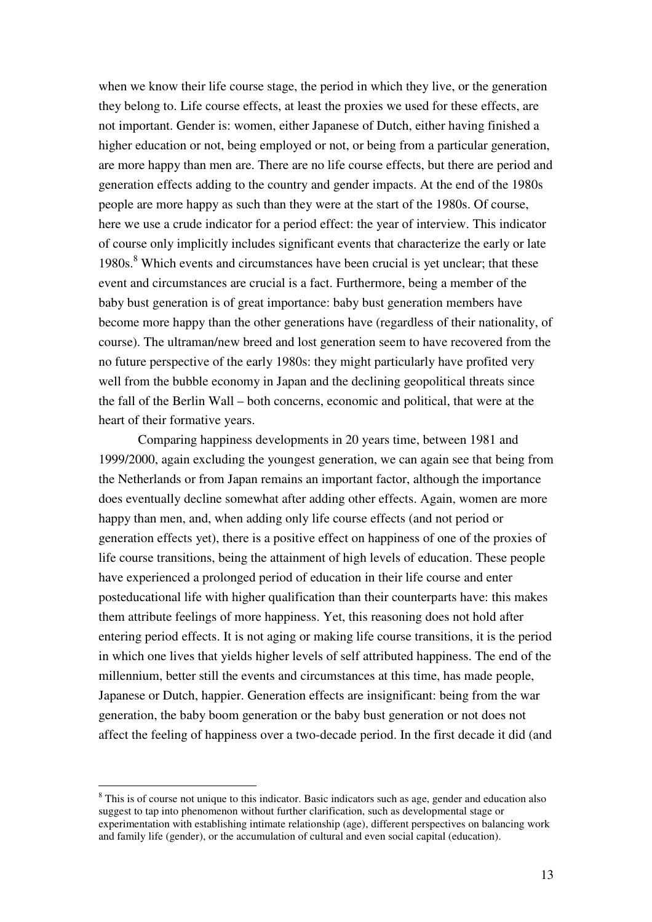when we know their life course stage, the period in which they live, or the generation they belong to. Life course effects, at least the proxies we used for these effects, are not important. Gender is: women, either Japanese of Dutch, either having finished a higher education or not, being employed or not, or being from a particular generation, are more happy than men are. There are no life course effects, but there are period and generation effects adding to the country and gender impacts. At the end of the 1980s people are more happy as such than they were at the start of the 1980s. Of course, here we use a crude indicator for a period effect: the year of interview. This indicator of course only implicitly includes significant events that characterize the early or late 1980s.<sup>8</sup> Which events and circumstances have been crucial is yet unclear; that these event and circumstances are crucial is a fact. Furthermore, being a member of the baby bust generation is of great importance: baby bust generation members have become more happy than the other generations have (regardless of their nationality, of course). The ultraman/new breed and lost generation seem to have recovered from the no future perspective of the early 1980s: they might particularly have profited very well from the bubble economy in Japan and the declining geopolitical threats since the fall of the Berlin Wall – both concerns, economic and political, that were at the heart of their formative years.

Comparing happiness developments in 20 years time, between 1981 and 1999/2000, again excluding the youngest generation, we can again see that being from the Netherlands or from Japan remains an important factor, although the importance does eventually decline somewhat after adding other effects. Again, women are more happy than men, and, when adding only life course effects (and not period or generation effects yet), there is a positive effect on happiness of one of the proxies of life course transitions, being the attainment of high levels of education. These people have experienced a prolonged period of education in their life course and enter posteducational life with higher qualification than their counterparts have: this makes them attribute feelings of more happiness. Yet, this reasoning does not hold after entering period effects. It is not aging or making life course transitions, it is the period in which one lives that yields higher levels of self attributed happiness. The end of the millennium, better still the events and circumstances at this time, has made people, Japanese or Dutch, happier. Generation effects are insignificant: being from the war generation, the baby boom generation or the baby bust generation or not does not affect the feeling of happiness over a two-decade period. In the first decade it did (and

<sup>&</sup>lt;sup>8</sup> This is of course not unique to this indicator. Basic indicators such as age, gender and education also suggest to tap into phenomenon without further clarification, such as developmental stage or experimentation with establishing intimate relationship (age), different perspectives on balancing work and family life (gender), or the accumulation of cultural and even social capital (education).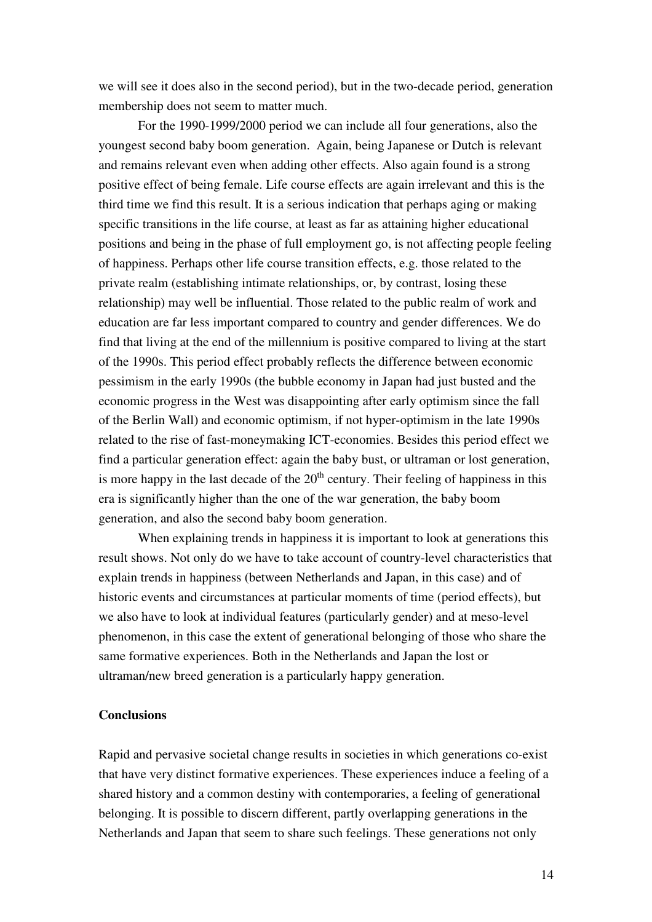we will see it does also in the second period), but in the two-decade period, generation membership does not seem to matter much.

For the 1990-1999/2000 period we can include all four generations, also the youngest second baby boom generation. Again, being Japanese or Dutch is relevant and remains relevant even when adding other effects. Also again found is a strong positive effect of being female. Life course effects are again irrelevant and this is the third time we find this result. It is a serious indication that perhaps aging or making specific transitions in the life course, at least as far as attaining higher educational positions and being in the phase of full employment go, is not affecting people feeling of happiness. Perhaps other life course transition effects, e.g. those related to the private realm (establishing intimate relationships, or, by contrast, losing these relationship) may well be influential. Those related to the public realm of work and education are far less important compared to country and gender differences. We do find that living at the end of the millennium is positive compared to living at the start of the 1990s. This period effect probably reflects the difference between economic pessimism in the early 1990s (the bubble economy in Japan had just busted and the economic progress in the West was disappointing after early optimism since the fall of the Berlin Wall) and economic optimism, if not hyper-optimism in the late 1990s related to the rise of fast-moneymaking ICT-economies. Besides this period effect we find a particular generation effect: again the baby bust, or ultraman or lost generation, is more happy in the last decade of the  $20<sup>th</sup>$  century. Their feeling of happiness in this era is significantly higher than the one of the war generation, the baby boom generation, and also the second baby boom generation.

When explaining trends in happiness it is important to look at generations this result shows. Not only do we have to take account of country-level characteristics that explain trends in happiness (between Netherlands and Japan, in this case) and of historic events and circumstances at particular moments of time (period effects), but we also have to look at individual features (particularly gender) and at meso-level phenomenon, in this case the extent of generational belonging of those who share the same formative experiences. Both in the Netherlands and Japan the lost or ultraman/new breed generation is a particularly happy generation.

#### **Conclusions**

Rapid and pervasive societal change results in societies in which generations co-exist that have very distinct formative experiences. These experiences induce a feeling of a shared history and a common destiny with contemporaries, a feeling of generational belonging. It is possible to discern different, partly overlapping generations in the Netherlands and Japan that seem to share such feelings. These generations not only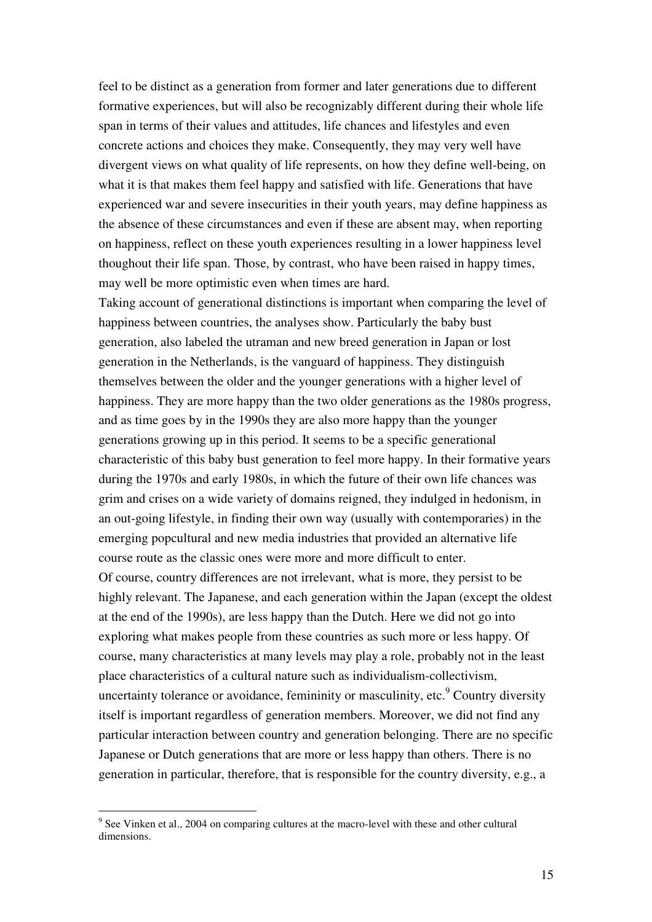feel to be distinct as a generation from former and later generations due to different formative experiences, but will also be recognizably different during their whole life span in terms of their values and attitudes, life chances and lifestyles and even concrete actions and choices they make. Consequently, they may very well have divergent views on what quality of life represents, on how they define well-being, on what it is that makes them feel happy and satisfied with life. Generations that have experienced war and severe insecurities in their youth years, may define happiness as the absence of these circumstances and even if these are absent may, when reporting on happiness, reflect on these youth experiences resulting in a lower happiness level thoughout their life span. Those, by contrast, who have been raised in happy times, may well be more optimistic even when times are hard.

Taking account of generational distinctions is important when comparing the level of happiness between countries, the analyses show. Particularly the baby bust generation, also labeled the utraman and new breed generation in Japan or lost generation in the Netherlands, is the vanguard of happiness. They distinguish themselves between the older and the younger generations with a higher level of happiness. They are more happy than the two older generations as the 1980s progress, and as time goes by in the 1990s they are also more happy than the younger generations growing up in this period. It seems to be a specific generational characteristic of this baby bust generation to feel more happy. In their formative years during the 1970s and early 1980s, in which the future of their own life chances was grim and crises on a wide variety of domains reigned, they indulged in hedonism, in an out-going lifestyle, in finding their own way (usually with contemporaries) in the emerging popcultural and new media industries that provided an alternative life course route as the classic ones were more and more difficult to enter.

Of course, country differences are not irrelevant, what is more, they persist to be highly relevant. The Japanese, and each generation within the Japan (except the oldest at the end of the 1990s), are less happy than the Dutch. Here we did not go into exploring what makes people from these countries as such more or less happy. Of course, many characteristics at many levels may play a role, probably not in the least place characteristics of a cultural nature such as individualism-collectivism, uncertainty tolerance or avoidance, femininity or masculinity, etc.  $^9$  Country diversity itself is important regardless of generation members. Moreover, we did not find any particular interaction between country and generation belonging. There are no specific Japanese or Dutch generations that are more or less happy than others. There is no generation in particular, therefore, that is responsible for the country diversity, e.g., a

 $9^9$  See Vinken et al., 2004 on comparing cultures at the macro-level with these and other cultural dimensions.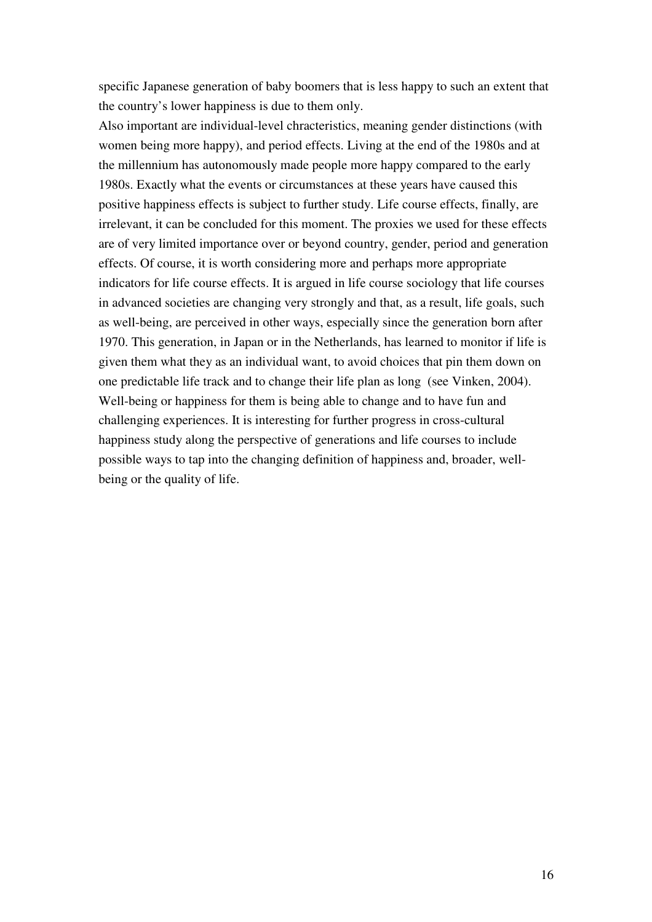specific Japanese generation of baby boomers that is less happy to such an extent that the country's lower happiness is due to them only.

Also important are individual-level chracteristics, meaning gender distinctions (with women being more happy), and period effects. Living at the end of the 1980s and at the millennium has autonomously made people more happy compared to the early 1980s. Exactly what the events or circumstances at these years have caused this positive happiness effects is subject to further study. Life course effects, finally, are irrelevant, it can be concluded for this moment. The proxies we used for these effects are of very limited importance over or beyond country, gender, period and generation effects. Of course, it is worth considering more and perhaps more appropriate indicators for life course effects. It is argued in life course sociology that life courses in advanced societies are changing very strongly and that, as a result, life goals, such as well-being, are perceived in other ways, especially since the generation born after 1970. This generation, in Japan or in the Netherlands, has learned to monitor if life is given them what they as an individual want, to avoid choices that pin them down on one predictable life track and to change their life plan as long (see Vinken, 2004). Well-being or happiness for them is being able to change and to have fun and challenging experiences. It is interesting for further progress in cross-cultural happiness study along the perspective of generations and life courses to include possible ways to tap into the changing definition of happiness and, broader, wellbeing or the quality of life.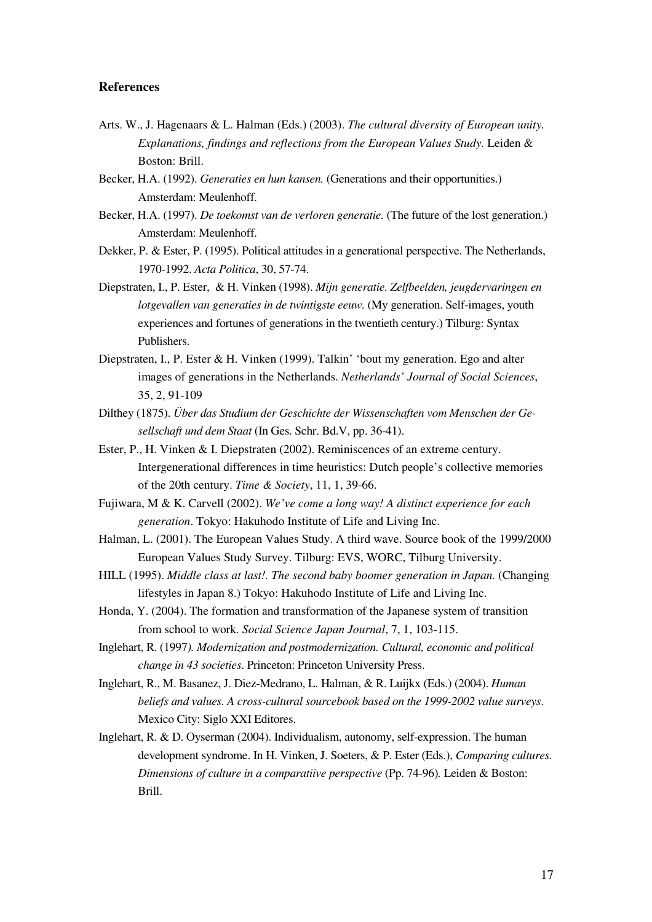#### **References**

- Arts. W., J. Hagenaars & L. Halman (Eds.) (2003). *The cultural diversity of European unity. Explanations, findings and reflections from the European Values Study.* Leiden & Boston: Brill.
- Becker, H.A. (1992). *Generaties en hun kansen.* (Generations and their opportunities.) Amsterdam: Meulenhoff.
- Becker, H.A. (1997). *De toekomst van de verloren generatie.* (The future of the lost generation.) Amsterdam: Meulenhoff.
- Dekker, P. & Ester, P. (1995). Political attitudes in a generational perspective. The Netherlands, 1970-1992. *Acta Politica*, 30, 57-74.
- Diepstraten, I., P. Ester, & H. Vinken (1998). *Mijn generatie. Zelfbeelden, jeugdervaringen en lotgevallen van generaties in de twintigste eeuw.* (My generation. Self-images, youth experiences and fortunes of generations in the twentieth century.) Tilburg: Syntax Publishers.
- Diepstraten, I., P. Ester & H. Vinken (1999). Talkin' 'bout my generation. Ego and alter images of generations in the Netherlands. *Netherlands' Journal of Social Sciences*, 35, 2, 91-109
- Dilthey (1875). *Über das Studium der Geschichte der Wissenschaften vom Menschen der Gesellschaft und dem Staat* (In Ges. Schr. Bd.V, pp. 36-41).
- Ester, P., H. Vinken & I. Diepstraten (2002). Reminiscences of an extreme century. Intergenerational differences in time heuristics: Dutch people's collective memories of the 20th century. *Time & Society*, 11, 1, 39-66.
- Fujiwara, M & K. Carvell (2002). *We've come a long way! A distinct experience for each generation*. Tokyo: Hakuhodo Institute of Life and Living Inc.
- Halman, L. (2001). The European Values Study. A third wave. Source book of the 1999/2000 European Values Study Survey. Tilburg: EVS, WORC, Tilburg University.
- HILL (1995). *Middle class at last!. The second baby boomer generation in Japan.* (Changing lifestyles in Japan 8.) Tokyo: Hakuhodo Institute of Life and Living Inc.
- Honda, Y. (2004). The formation and transformation of the Japanese system of transition from school to work. *Social Science Japan Journal*, 7, 1, 103-115.
- Inglehart, R. (1997*). Modernization and postmodernization. Cultural, economic and political change in 43 societies*. Princeton: Princeton University Press.
- Inglehart, R., M. Basanez, J. Diez-Medrano, L. Halman, & R. Luijkx (Eds.) (2004). *Human beliefs and values. A cross-cultural sourcebook based on the 1999-2002 value surveys*. Mexico City: Siglo XXI Editores.
- Inglehart, R. & D. Oyserman (2004). Individualism, autonomy, self-expression. The human development syndrome. In H. Vinken, J. Soeters, & P. Ester (Eds.), *Comparing cultures. Dimensions of culture in a comparatiive perspective* (Pp. 74-96)*.* Leiden & Boston: Brill.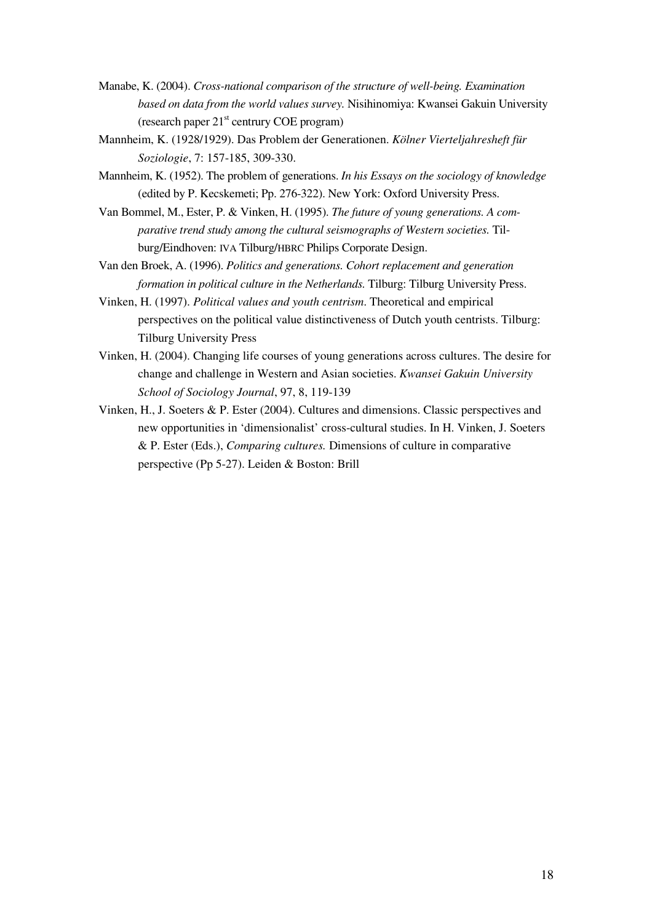- Manabe, K. (2004). *Cross-national comparison of the structure of well-being. Examination based on data from the world values survey.* Nisihinomiya: Kwansei Gakuin University (research paper 21<sup>st</sup> centrury COE program)
- Mannheim, K. (1928/1929). Das Problem der Generationen. *Kölner Vierteljahresheft für Soziologie*, 7: 157-185, 309-330.
- Mannheim, K. (1952). The problem of generations. *In his Essays on the sociology of knowledge* (edited by P. Kecskemeti; Pp. 276-322). New York: Oxford University Press.
- Van Bommel, M., Ester, P. & Vinken, H. (1995). *The future of young generations. A comparative trend study among the cultural seismographs of Western societies.* Tilburg/Eindhoven: IVA Tilburg/HBRC Philips Corporate Design.

Van den Broek, A. (1996). *Politics and generations. Cohort replacement and generation formation in political culture in the Netherlands.* Tilburg: Tilburg University Press.

- Vinken, H. (1997). *Political values and youth centrism*. Theoretical and empirical perspectives on the political value distinctiveness of Dutch youth centrists. Tilburg: Tilburg University Press
- Vinken, H. (2004). Changing life courses of young generations across cultures. The desire for change and challenge in Western and Asian societies. *Kwansei Gakuin University School of Sociology Journal*, 97, 8, 119-139
- Vinken, H., J. Soeters & P. Ester (2004). Cultures and dimensions. Classic perspectives and new opportunities in 'dimensionalist' cross-cultural studies. In H. Vinken, J. Soeters & P. Ester (Eds.), *Comparing cultures.* Dimensions of culture in comparative perspective (Pp 5-27). Leiden & Boston: Brill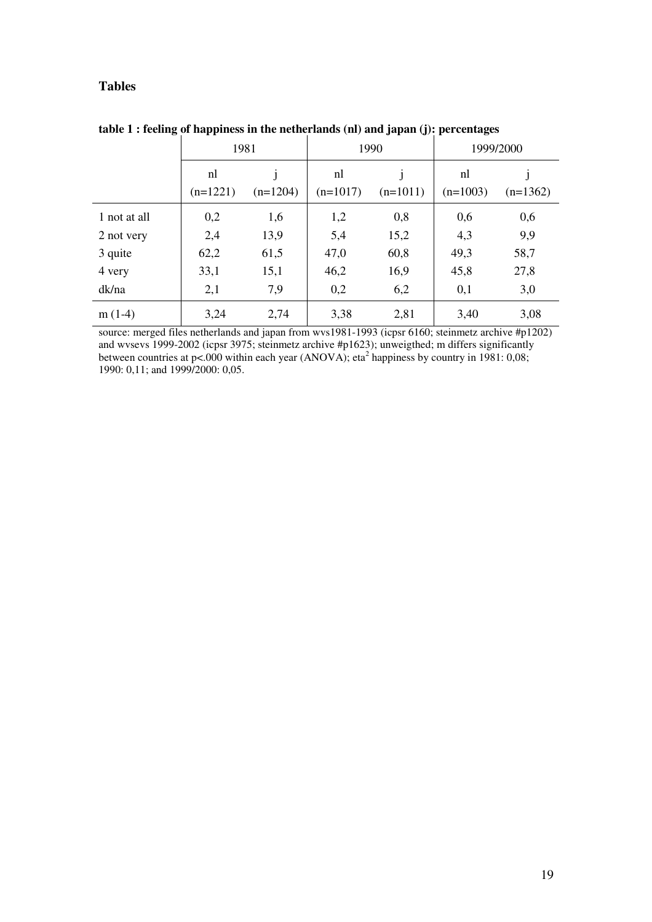# **Tables**

|              | 1981       |            | 1990       |            | 1999/2000  |            |
|--------------|------------|------------|------------|------------|------------|------------|
|              | nl         |            | nl         |            | nl         |            |
|              | $(n=1221)$ | $(n=1204)$ | $(n=1017)$ | $(n=1011)$ | $(n=1003)$ | $(n=1362)$ |
| 1 not at all | 0,2        | 1,6        | 1,2        | 0,8        | 0,6        | 0,6        |
| 2 not very   | 2,4        | 13,9       | 5,4        | 15,2       | 4,3        | 9,9        |
| 3 quite      | 62,2       | 61,5       | 47,0       | 60,8       | 49,3       | 58,7       |
| 4 very       | 33,1       | 15,1       | 46,2       | 16,9       | 45,8       | 27,8       |
| dk/na        | 2,1        | 7,9        | 0,2        | 6,2        | 0,1        | 3,0        |
| $m(1-4)$     | 3,24       | 2,74       | 3,38       | 2,81       | 3,40       | 3,08       |

**table 1 : feeling of happiness in the netherlands (nl) and japan (j): percentages**

source: merged files netherlands and japan from wvs1981-1993 (icpsr 6160; steinmetz archive #p1202) and wvsevs 1999-2002 (icpsr 3975; steinmetz archive #p1623); unweigthed; m differs significantly between countries at p<.000 within each year (ANOVA); eta<sup>2</sup> happiness by country in 1981: 0,08; 1990: 0,11; and 1999/2000: 0,05.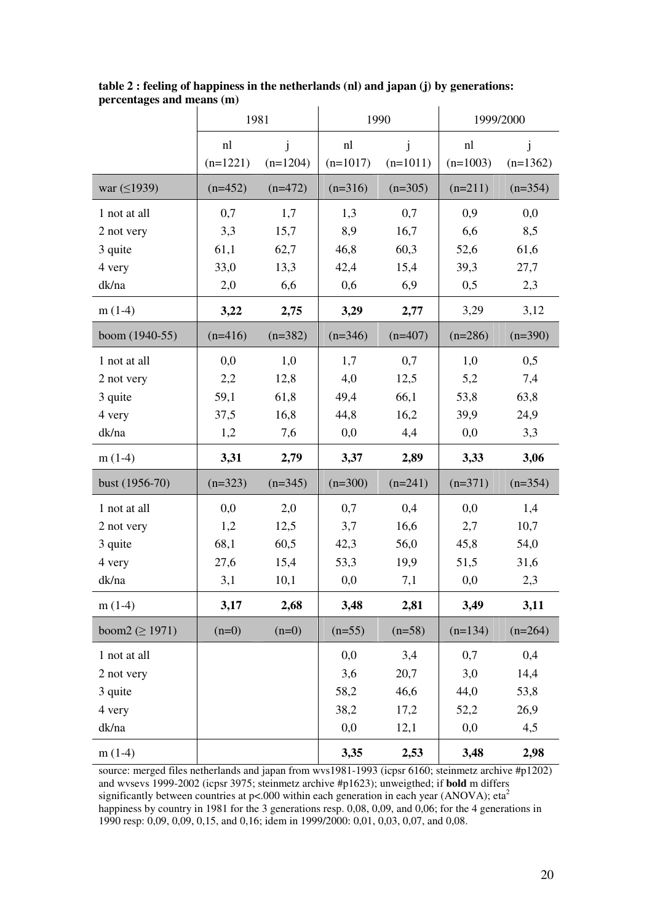|                      | 1981       |            | 1990       |            | 1999/2000  |            |
|----------------------|------------|------------|------------|------------|------------|------------|
|                      | nl         | j          | nl         | j          | nl         | J          |
|                      | $(n=1221)$ | $(n=1204)$ | $(n=1017)$ | $(n=1011)$ | $(n=1003)$ | $(n=1362)$ |
| war $( \leq 1939)$   | $(n=452)$  | $(n=472)$  | $(n=316)$  | $(n=305)$  | $(n=211)$  | $(n=354)$  |
| 1 not at all         | 0,7        | 1,7        | 1,3        | 0,7        | 0,9        | 0,0        |
| 2 not very           | 3,3        | 15,7       | 8,9        | 16,7       | 6,6        | 8,5        |
| 3 quite              | 61,1       | 62,7       | 46,8       | 60,3       | 52,6       | 61,6       |
| 4 very               | 33,0       | 13,3       | 42,4       | 15,4       | 39,3       | 27,7       |
| dk/na                | 2,0        | 6,6        | 0,6        | 6,9        | 0,5        | 2,3        |
| $m(1-4)$             | 3,22       | 2,75       | 3,29       | 2,77       | 3,29       | 3,12       |
| boom (1940-55)       | $(n=416)$  | $(n=382)$  | $(n=346)$  | $(n=407)$  | $(n=286)$  | $(n=390)$  |
| 1 not at all         | 0,0        | 1,0        | 1,7        | 0,7        | 1,0        | 0,5        |
| 2 not very           | 2,2        | 12,8       | 4,0        | 12,5       | 5,2        | 7,4        |
| 3 quite              | 59,1       | 61,8       | 49,4       | 66,1       | 53,8       | 63,8       |
| 4 very               | 37,5       | 16,8       | 44,8       | 16,2       | 39,9       | 24,9       |
| dk/na                | 1,2        | 7,6        | 0,0        | 4,4        | 0,0        | 3,3        |
| $m(1-4)$             | 3,31       | 2,79       | 3,37       | 2,89       | 3,33       | 3,06       |
| bust (1956-70)       | $(n=323)$  | $(n=345)$  | $(n=300)$  | $(n=241)$  | $(n=371)$  | $(n=354)$  |
| 1 not at all         | 0,0        | 2,0        | 0,7        | 0,4        | 0,0        | 1,4        |
| 2 not very           | 1,2        | 12,5       | 3,7        | 16,6       | 2,7        | 10,7       |
| 3 quite              | 68,1       | 60,5       | 42,3       | 56,0       | 45,8       | 54,0       |
| 4 very               | 27,6       | 15,4       | 53,3       | 19,9       | 51,5       | 31,6       |
| dk/na                | 3,1        | 10,1       | 0,0        | 7,1        | 0,0        | 2,3        |
| $m(1-4)$             | 3,17       | 2,68       | 3,48       | 2,81       | 3,49       | 3,11       |
| boom2 ( $\geq$ 1971) | $(n=0)$    | $(n=0)$    | $(n=55)$   | $(n=58)$   | $(n=134)$  | $(n=264)$  |
| 1 not at all         |            |            | 0,0        | 3,4        | 0,7        | 0,4        |
| 2 not very           |            |            | 3,6        | 20,7       | 3,0        | 14,4       |
| 3 quite              |            |            | 58,2       | 46,6       | 44,0       | 53,8       |
| 4 very               |            |            | 38,2       | 17,2       | 52,2       | 26,9       |
| dk/na                |            |            | 0,0        | 12,1       | 0,0        | 4,5        |
| $m(1-4)$             |            |            | 3,35       | 2,53       | 3,48       | 2,98       |

**table 2 : feeling of happiness in the netherlands (nl) and japan (j) by generations: percentages and means (m)**

source: merged files netherlands and japan from wvs1981-1993 (icpsr 6160; steinmetz archive #p1202) and wvsevs 1999-2002 (icpsr 3975; steinmetz archive #p1623); unweigthed; if **bold** m differs significantly between countries at p<.000 within each generation in each year (ANOVA); eta<sup>2</sup> happiness by country in 1981 for the 3 generations resp. 0,08, 0,09, and 0,06; for the 4 generations in 1990 resp: 0,09, 0,09, 0,15, and 0,16; idem in 1999/2000: 0,01, 0,03, 0,07, and 0,08.